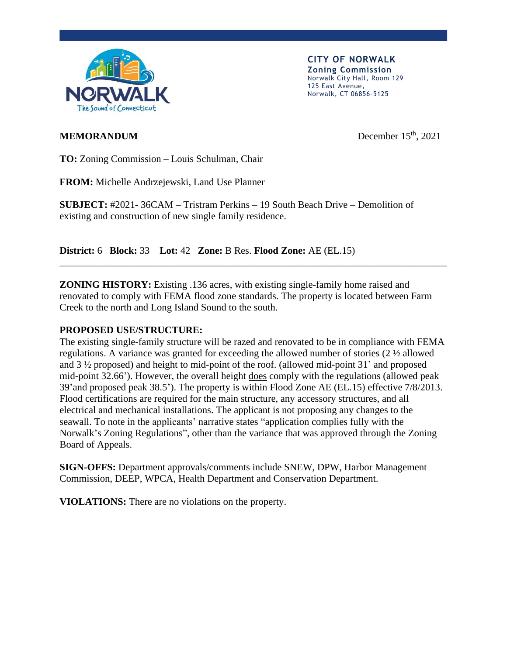

**CITY OF NORWALK Zoning Commission** Norwalk City Hall, Room 129 125 East Avenue, Norwalk, CT 06856-5125

## **MEMORANDUM**

December  $15<sup>th</sup>$ , 2021

**TO:** Zoning Commission – Louis Schulman, Chair

**FROM:** Michelle Andrzejewski, Land Use Planner

**SUBJECT:** #2021- 36CAM – Tristram Perkins – 19 South Beach Drive – Demolition of existing and construction of new single family residence.

**District:** 6 **Block:** 33 **Lot:** 42 **Zone:** B Res. **Flood Zone:** AE (EL.15)

**ZONING HISTORY:** Existing .136 acres, with existing single-family home raised and renovated to comply with FEMA flood zone standards. The property is located between Farm Creek to the north and Long Island Sound to the south.

\_\_\_\_\_\_\_\_\_\_\_\_\_\_\_\_\_\_\_\_\_\_\_\_\_\_\_\_\_\_\_\_\_\_\_\_\_\_\_\_\_\_\_\_\_\_\_\_\_\_\_\_\_\_\_\_\_\_\_\_\_\_\_\_\_\_\_\_\_\_\_\_\_\_\_\_\_\_

## **PROPOSED USE/STRUCTURE:**

The existing single-family structure will be razed and renovated to be in compliance with FEMA regulations. A variance was granted for exceeding the allowed number of stories (2 ½ allowed and 3 ½ proposed) and height to mid-point of the roof. (allowed mid-point 31' and proposed mid-point 32.66'). However, the overall height does comply with the regulations (allowed peak 39'and proposed peak 38.5'). The property is within Flood Zone AE (EL.15) effective 7/8/2013. Flood certifications are required for the main structure, any accessory structures, and all electrical and mechanical installations. The applicant is not proposing any changes to the seawall. To note in the applicants' narrative states "application complies fully with the Norwalk's Zoning Regulations", other than the variance that was approved through the Zoning Board of Appeals.

**SIGN-OFFS:** Department approvals/comments include SNEW, DPW, Harbor Management Commission, DEEP, WPCA, Health Department and Conservation Department.

**VIOLATIONS:** There are no violations on the property.